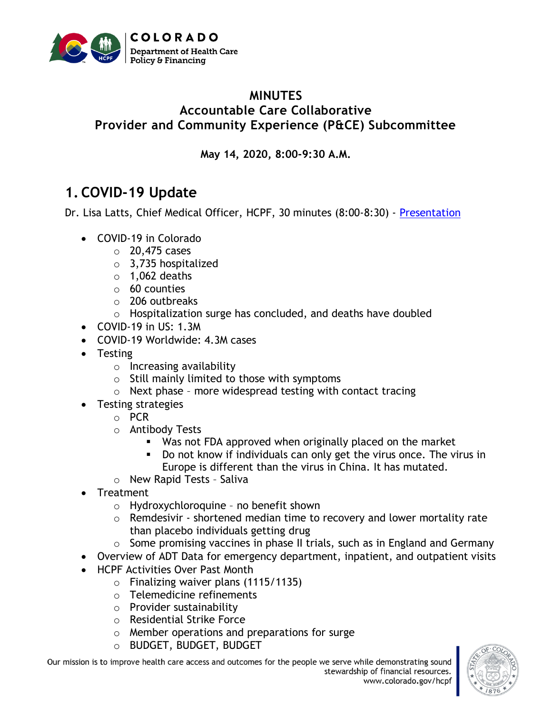

### **MINUTES Accountable Care Collaborative Provider and Community Experience (P&CE) Subcommittee**

**May 14, 2020, 8:00-9:30 A.M.**

# **1. COVID-19 Update**

Dr. Lisa Latts, Chief Medical Officer, HCPF, 30 minutes (8:00-8:30) - [Presentation](https://www.colorado.gov/pacific/sites/default/files/Provider%20and%20Community%20Experience%20PIAC%20Subcommittee%20COVID%20Powerpoint%20May%202020.pdf)

- COVID-19 in Colorado
	- o 20,475 cases
	- o 3,735 hospitalized
	- $\circ$  1,062 deaths
	- o 60 counties
	- o 206 outbreaks
	- o Hospitalization surge has concluded, and deaths have doubled
- COVID-19 in US: 1.3M
- COVID-19 Worldwide: 4.3M cases
- Testing
	- o Increasing availability
	- $\circ$  Still mainly limited to those with symptoms
	- $\circ$  Next phase more widespread testing with contact tracing
- Testing strategies
	- o PCR
	- o Antibody Tests
		- Was not FDA approved when originally placed on the market
		- Do not know if individuals can only get the virus once. The virus in Europe is different than the virus in China. It has mutated.
	- o New Rapid Tests Saliva
- **Treatment** 
	- o Hydroxychloroquine no benefit shown
	- $\circ$  Remdesivir shortened median time to recovery and lower mortality rate than placebo individuals getting drug
	- o Some promising vaccines in phase II trials, such as in England and Germany
- Overview of ADT Data for emergency department, inpatient, and outpatient visits
- HCPF Activities Over Past Month
	- o Finalizing waiver plans (1115/1135)
	- o Telemedicine refinements
	- o Provider sustainability
	- o Residential Strike Force
	- o Member operations and preparations for surge
	- o BUDGET, BUDGET, BUDGET

Our mission is to improve health care access and outcomes for the people we serve while demonstrating sound stewardship of financial resources.

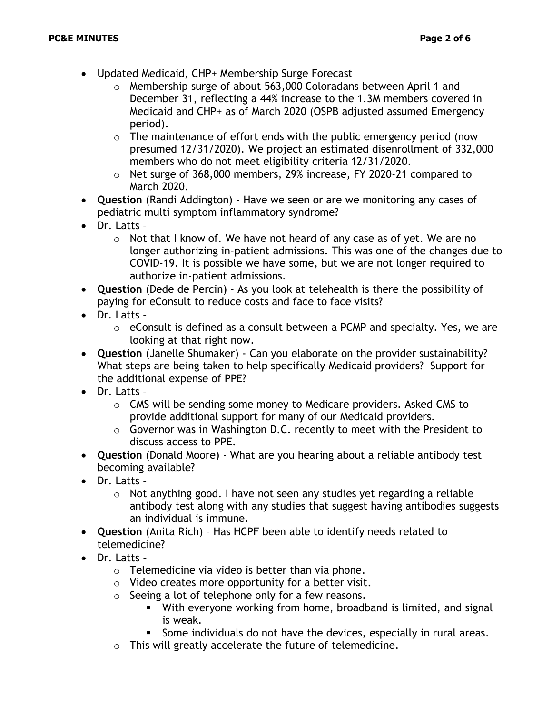- Updated Medicaid, CHP+ Membership Surge Forecast
	- o Membership surge of about 563,000 Coloradans between April 1 and December 31, reflecting a 44% increase to the 1.3M members covered in Medicaid and CHP+ as of March 2020 (OSPB adjusted assumed Emergency period).
	- $\circ$  The maintenance of effort ends with the public emergency period (now presumed 12/31/2020). We project an estimated disenrollment of 332,000 members who do not meet eligibility criteria 12/31/2020.
	- o Net surge of 368,000 members, 29% increase, FY 2020-21 compared to March 2020.
- **Question** (Randi Addington) Have we seen or are we monitoring any cases of pediatric multi symptom inflammatory syndrome?
- Dr. Latts
	- $\circ$  Not that I know of. We have not heard of any case as of yet. We are no longer authorizing in-patient admissions. This was one of the changes due to COVID-19. It is possible we have some, but we are not longer required to authorize in-patient admissions.
- **Question** (Dede de Percin) As you look at telehealth is there the possibility of paying for eConsult to reduce costs and face to face visits?
- Dr. Latts
	- o eConsult is defined as a consult between a PCMP and specialty. Yes, we are looking at that right now.
- **Question** (Janelle Shumaker) Can you elaborate on the provider sustainability? What steps are being taken to help specifically Medicaid providers? Support for the additional expense of PPE?
- Dr. Latts
	- o CMS will be sending some money to Medicare providers. Asked CMS to provide additional support for many of our Medicaid providers.
	- o Governor was in Washington D.C. recently to meet with the President to discuss access to PPE.
- **Question** (Donald Moore) What are you hearing about a reliable antibody test becoming available?
- Dr. Latts
	- o Not anything good. I have not seen any studies yet regarding a reliable antibody test along with any studies that suggest having antibodies suggests an individual is immune.
- **Question** (Anita Rich) Has HCPF been able to identify needs related to telemedicine?
- Dr. Latts **-**
	- $\circ$  Telemedicine via video is better than via phone.
	- $\circ$  Video creates more opportunity for a better visit.
	- o Seeing a lot of telephone only for a few reasons.
		- **E** With everyone working from home, broadband is limited, and signal is weak.
		- Some individuals do not have the devices, especially in rural areas.
	- o This will greatly accelerate the future of telemedicine.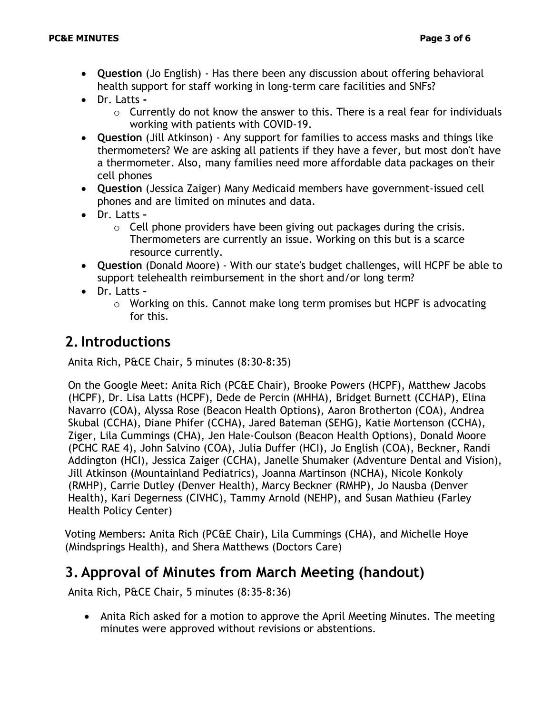- **Question** (Jo English) Has there been any discussion about offering behavioral health support for staff working in long-term care facilities and SNFs?
- Dr. Latts **-**
	- $\circ$  Currently do not know the answer to this. There is a real fear for individuals working with patients with COVID-19.
- **Question** (Jill Atkinson) Any support for families to access masks and things like thermometers? We are asking all patients if they have a fever, but most don't have a thermometer. Also, many families need more affordable data packages on their cell phones
- **Question** (Jessica Zaiger) Many Medicaid members have government-issued cell phones and are limited on minutes and data.
- Dr. Latts **–**
	- $\circ$  Cell phone providers have been giving out packages during the crisis. Thermometers are currently an issue. Working on this but is a scarce resource currently.
- **Question** (Donald Moore) With our state's budget challenges, will HCPF be able to support telehealth reimbursement in the short and/or long term?
- Dr. Latts **–**
	- o Working on this. Cannot make long term promises but HCPF is advocating for this.

## **2.Introductions**

Anita Rich, P&CE Chair, 5 minutes (8:30-8:35)

On the Google Meet: Anita Rich (PC&E Chair), Brooke Powers (HCPF), Matthew Jacobs (HCPF), Dr. Lisa Latts (HCPF), Dede de Percin (MHHA), Bridget Burnett (CCHAP), Elina Navarro (COA), Alyssa Rose (Beacon Health Options), Aaron Brotherton (COA), Andrea Skubal (CCHA), Diane Phifer (CCHA), Jared Bateman (SEHG), Katie Mortenson (CCHA), Ziger, Lila Cummings (CHA), Jen Hale-Coulson (Beacon Health Options), Donald Moore (PCHC RAE 4), John Salvino (COA), Julia Duffer (HCI), Jo English (COA), Beckner, Randi Addington (HCI), Jessica Zaiger (CCHA), Janelle Shumaker (Adventure Dental and Vision), Jill Atkinson (Mountainland Pediatrics), Joanna Martinson (NCHA), Nicole Konkoly (RMHP), Carrie Dutley (Denver Health), Marcy Beckner (RMHP), Jo Nausba (Denver Health), Kari Degerness (CIVHC), Tammy Arnold (NEHP), and Susan Mathieu (Farley Health Policy Center)

Voting Members: Anita Rich (PC&E Chair), Lila Cummings (CHA), and Michelle Hoye (Mindsprings Health), and Shera Matthews (Doctors Care)

## **3. Approval of Minutes from March Meeting (handout)**

Anita Rich, P&CE Chair, 5 minutes (8:35-8:36)

• Anita Rich asked for a motion to approve the April Meeting Minutes. The meeting minutes were approved without revisions or abstentions.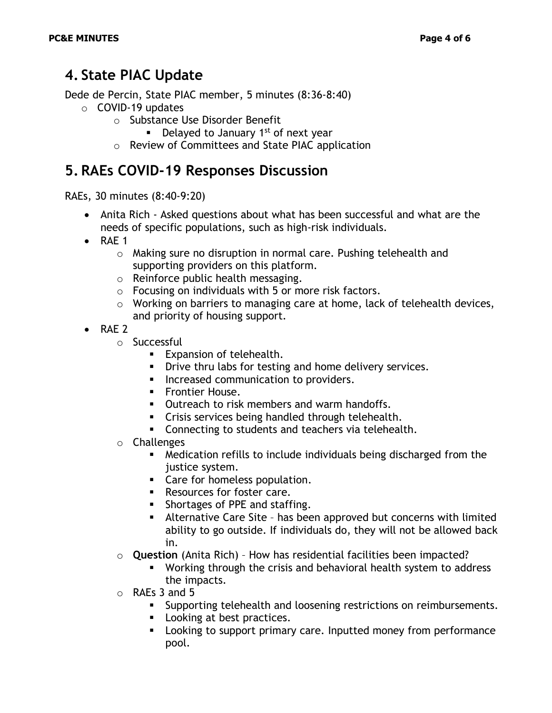## **4. State PIAC Update**

Dede de Percin, State PIAC member, 5 minutes (8:36-8:40)

- $\circ$  COVID-19 updates
	- o Substance Use Disorder Benefit
		- **•** Delayed to January 1<sup>st</sup> of next year
	- o Review of Committees and State PIAC application

## **5. RAEs COVID-19 Responses Discussion**

RAEs, 30 minutes (8:40-9:20)

- Anita Rich Asked questions about what has been successful and what are the needs of specific populations, such as high-risk individuals.
- RAE 1
	- o Making sure no disruption in normal care. Pushing telehealth and supporting providers on this platform.
	- o Reinforce public health messaging.
	- $\circ$  Focusing on individuals with 5 or more risk factors.
	- o Working on barriers to managing care at home, lack of telehealth devices, and priority of housing support.
- RAE 2
	- o Successful
		- Expansion of telehealth.
		- **•** Drive thru labs for testing and home delivery services.
		- Increased communication to providers.
		- **•** Frontier House.
		- Outreach to risk members and warm handoffs.
		- Crisis services being handled through telehealth.
		- Connecting to students and teachers via telehealth.
	- o Challenges
		- Medication refills to include individuals being discharged from the justice system.
		- Care for homeless population.
		- Resources for foster care.
		- Shortages of PPE and staffing.
		- Alternative Care Site has been approved but concerns with limited ability to go outside. If individuals do, they will not be allowed back in.
	- o **Question** (Anita Rich) How has residential facilities been impacted?
		- Working through the crisis and behavioral health system to address the impacts.
	- o RAEs 3 and 5
		- **EXECT** Supporting telehealth and loosening restrictions on reimbursements.
		- Looking at best practices.
		- Looking to support primary care. Inputted money from performance pool.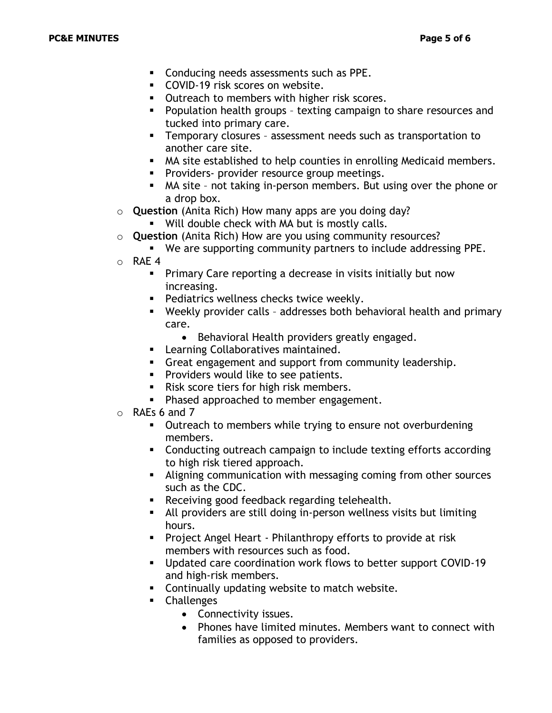- Conducing needs assessments such as PPE.
- COVID-19 risk scores on website.
- Outreach to members with higher risk scores.
- Population health groups texting campaign to share resources and tucked into primary care.
- Temporary closures assessment needs such as transportation to another care site.
- MA site established to help counties in enrolling Medicaid members.
- **•** Providers- provider resource group meetings.
- MA site not taking in-person members. But using over the phone or a drop box.
- o **Question** (Anita Rich) How many apps are you doing day?
	- Will double check with MA but is mostly calls.
- o **Question** (Anita Rich) How are you using community resources?
	- We are supporting community partners to include addressing PPE.
- o RAE 4
	- **•** Primary Care reporting a decrease in visits initially but now increasing.
	- **•** Pediatrics wellness checks twice weekly.
	- Weekly provider calls addresses both behavioral health and primary care.
		- Behavioral Health providers greatly engaged.
	- **EXEC** Learning Collaboratives maintained.
	- Great engagement and support from community leadership.
	- **•** Providers would like to see patients.
	- Risk score tiers for high risk members.
	- Phased approached to member engagement.
- o RAEs 6 and 7
	- Outreach to members while trying to ensure not overburdening members.
	- Conducting outreach campaign to include texting efforts according to high risk tiered approach.
	- **EXECT** Aligning communication with messaging coming from other sources such as the CDC.
	- Receiving good feedback regarding telehealth.
	- All providers are still doing in-person wellness visits but limiting hours.
	- Project Angel Heart Philanthropy efforts to provide at risk members with resources such as food.
	- Updated care coordination work flows to better support COVID-19 and high-risk members.
	- **EXEDENT** Continually updating website to match website.
	- Challenges
		- Connectivity issues.
		- Phones have limited minutes. Members want to connect with families as opposed to providers.